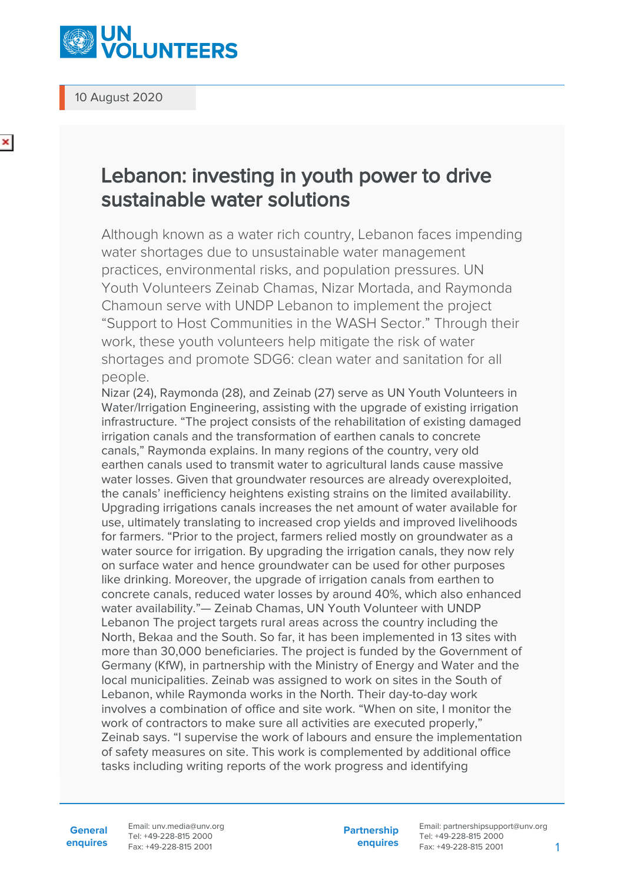

10 August 2020

## Lebanon: investing in youth power to drive sustainable water solutions

Although known as a water rich country, Lebanon faces impending water shortages due to unsustainable water management practices, environmental risks, and population pressures. UN Youth Volunteers Zeinab Chamas, Nizar Mortada, and Raymonda Chamoun serve with UNDP Lebanon to implement the project "Support to Host Communities in the WASH Sector." Through their work, these youth volunteers help mitigate the risk of water shortages and promote SDG6: clean water and sanitation for all people.

Nizar (24), Raymonda (28), and Zeinab (27) serve as UN Youth Volunteers in Water/Irrigation Engineering, assisting with the upgrade of existing irrigation infrastructure. "The project consists of the rehabilitation of existing damaged irrigation canals and the transformation of earthen canals to concrete canals," Raymonda explains. In many regions of the country, very old earthen canals used to transmit water to agricultural lands cause massive water losses. Given that groundwater resources are already overexploited, the canals' inefficiency heightens existing strains on the limited availability. Upgrading irrigations canals increases the net amount of water available for use, ultimately translating to increased crop yields and improved livelihoods for farmers. "Prior to the project, farmers relied mostly on groundwater as a water source for irrigation. By upgrading the irrigation canals, they now rely on surface water and hence groundwater can be used for other purposes like drinking. Moreover, the upgrade of irrigation canals from earthen to concrete canals, reduced water losses by around 40%, which also enhanced water availability."— Zeinab Chamas, UN Youth Volunteer with UNDP Lebanon The project targets rural areas across the country including the North, Bekaa and the South. So far, it has been implemented in 13 sites with more than 30,000 beneficiaries. The project is funded by the Government of Germany (KfW), in partnership with the Ministry of Energy and Water and the local municipalities. Zeinab was assigned to work on sites in the South of Lebanon, while Raymonda works in the North. Their day-to-day work involves a combination of office and site work. "When on site, I monitor the work of contractors to make sure all activities are executed properly," Zeinab says. "I supervise the work of labours and ensure the implementation of safety measures on site. This work is complemented by additional office tasks including writing reports of the work progress and identifying

**General enquires** Email: unv.media@unv.org Tel: +49-228-815 2000 Fax: +49-228-815 2001

**Partnership enquires** Email: partnershipsupport@unv.org Tel: +49-228-815 2000 Fax: +49-228-815 2001 1